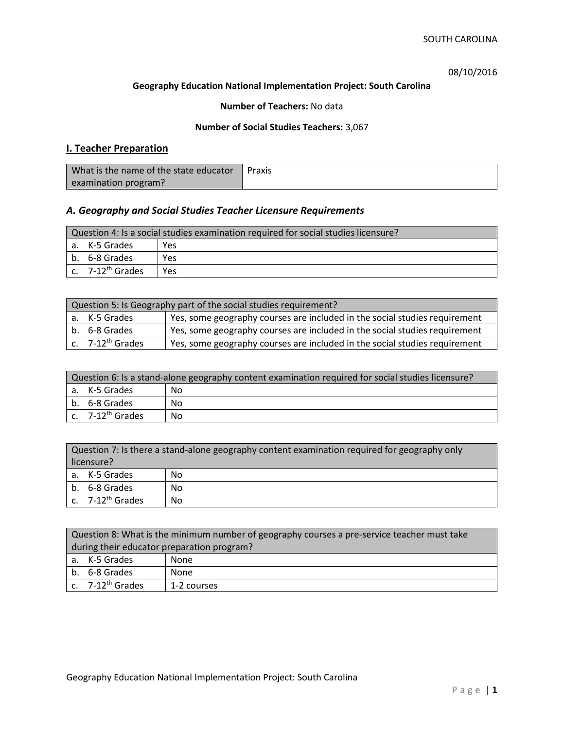08/10/2016

#### **Geography Education National Implementation Project: South Carolina**

### **Number of Teachers:** No data

### **Number of Social Studies Teachers:** 3,067

# **I. Teacher Preparation**

| What is the name of the state educator | Praxis |
|----------------------------------------|--------|
| examination program?                   |        |

# *A. Geography and Social Studies Teacher Licensure Requirements*

| Question 4: Is a social studies examination required for social studies licensure? |                                         |     |
|------------------------------------------------------------------------------------|-----------------------------------------|-----|
|                                                                                    | a. K-5 Grades                           | Yes |
|                                                                                    | l b. 6-8 Grades                         | Yes |
|                                                                                    | $\mathsf{c.}$ 7-12 <sup>th</sup> Grades | Yes |

| Question 5: Is Geography part of the social studies requirement? |                              |                                                                            |  |
|------------------------------------------------------------------|------------------------------|----------------------------------------------------------------------------|--|
|                                                                  | a. K-5 Grades                | Yes, some geography courses are included in the social studies requirement |  |
|                                                                  | b. 6-8 Grades                | Yes, some geography courses are included in the social studies requirement |  |
|                                                                  | c. 7-12 <sup>th</sup> Grades | Yes, some geography courses are included in the social studies requirement |  |

| Question 6: Is a stand-alone geography content examination required for social studies licensure? |                       |    |
|---------------------------------------------------------------------------------------------------|-----------------------|----|
|                                                                                                   | a. K-5 Grades         | No |
|                                                                                                   | b. 6-8 Grades         | Nο |
|                                                                                                   | c. $7-12^{th}$ Grades | No |

|            | Question 7: Is there a stand-alone geography content examination required for geography only |     |  |
|------------|----------------------------------------------------------------------------------------------|-----|--|
| licensure? |                                                                                              |     |  |
|            | a. K-5 Grades                                                                                | No. |  |
|            | b. 6-8 Grades                                                                                | No. |  |
|            | c. $7-12^{th}$ Grades                                                                        | No. |  |

|                                            | Question 8: What is the minimum number of geography courses a pre-service teacher must take |             |  |
|--------------------------------------------|---------------------------------------------------------------------------------------------|-------------|--|
| during their educator preparation program? |                                                                                             |             |  |
|                                            | a. K-5 Grades                                                                               | None        |  |
|                                            | b. 6-8 Grades<br>None                                                                       |             |  |
|                                            | $\vert$ c. 7-12 <sup>th</sup> Grades                                                        | 1-2 courses |  |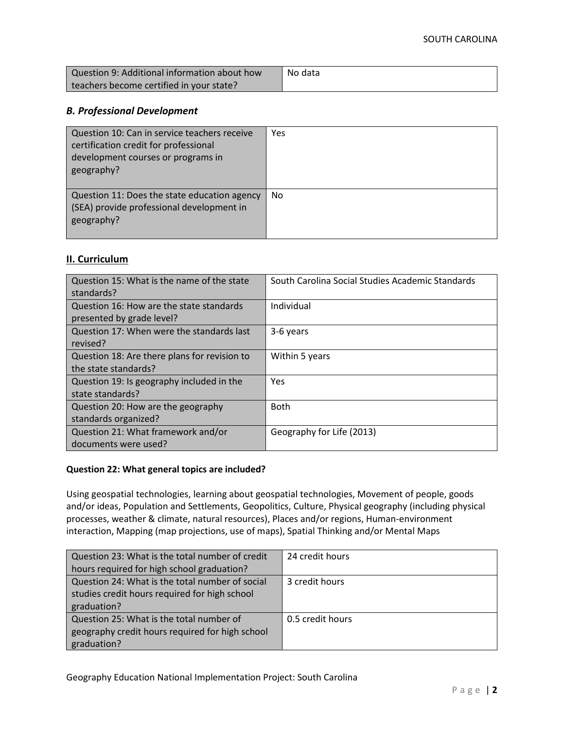| Question 9: Additional information about how | No data |
|----------------------------------------------|---------|
| teachers become certified in your state?     |         |

### *B. Professional Development*

| Question 10: Can in service teachers receive<br>certification credit for professional<br>development courses or programs in<br>geography? | Yes       |
|-------------------------------------------------------------------------------------------------------------------------------------------|-----------|
| Question 11: Does the state education agency<br>(SEA) provide professional development in<br>geography?                                   | <b>No</b> |

## **II. Curriculum**

| Question 15: What is the name of the state<br>standards?              | South Carolina Social Studies Academic Standards |
|-----------------------------------------------------------------------|--------------------------------------------------|
| Question 16: How are the state standards<br>presented by grade level? | Individual                                       |
| Question 17: When were the standards last<br>revised?                 | 3-6 years                                        |
| Question 18: Are there plans for revision to<br>the state standards?  | Within 5 years                                   |
| Question 19: Is geography included in the<br>state standards?         | Yes                                              |
| Question 20: How are the geography<br>standards organized?            | <b>Both</b>                                      |
| Question 21: What framework and/or<br>documents were used?            | Geography for Life (2013)                        |

#### **Question 22: What general topics are included?**

Using geospatial technologies, learning about geospatial technologies, Movement of people, goods and/or ideas, Population and Settlements, Geopolitics, Culture, Physical geography (including physical processes, weather & climate, natural resources), Places and/or regions, Human-environment interaction, Mapping (map projections, use of maps), Spatial Thinking and/or Mental Maps

| Question 23: What is the total number of credit | 24 credit hours  |
|-------------------------------------------------|------------------|
| hours required for high school graduation?      |                  |
| Question 24: What is the total number of social | 3 credit hours   |
| studies credit hours required for high school   |                  |
| graduation?                                     |                  |
| Question 25: What is the total number of        | 0.5 credit hours |
| geography credit hours required for high school |                  |
| graduation?                                     |                  |